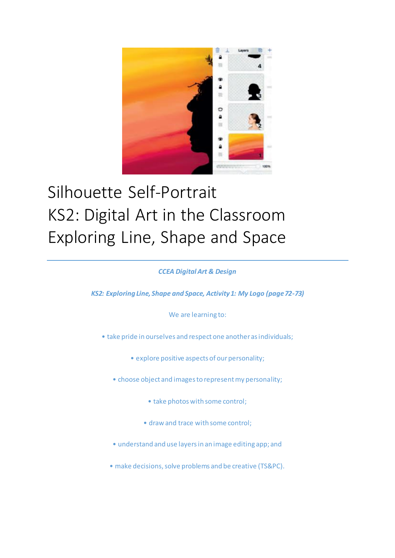

## Silhouette Self-Portrait KS2: Digital Art in the Classroom Exploring Line, Shape and Space

## *CCEA Digital Art & Design*

*KS2: Exploring Line, Shape and Space, Activity 1: My Logo (page 72-73)*

We are learning to:

- take pride in ourselves and respect one another as individuals;
	- explore positive aspects of our personality;
	- choose object and images to represent my personality;
		- take photos with some control;
		- draw and trace with some control;
	- understand and use layers in an image editing app; and
	- make decisions, solve problems and be creative (TS&PC).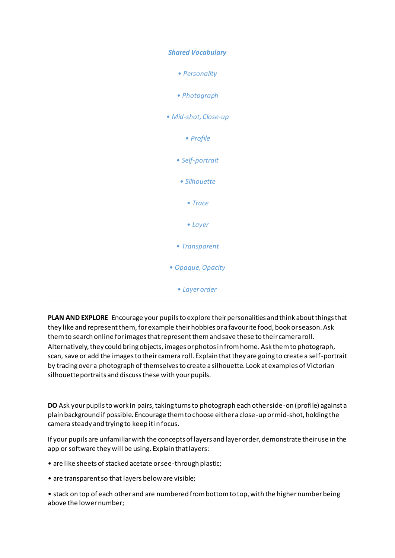

**PLAN AND EXPLORE** Encourage your pupils to explore their personalities and think about things that they like and represent them, for example their hobbies or a favourite food, book or season. Ask them to search online for images that represent them and save these to their camera roll. Alternatively, they could bring objects, images or photos in from home. Ask them to photograph, scan, save or add the images to their camera roll. Explain that they are going to create a self-portrait by tracing over a photograph of themselves to create a silhouette. Look at examples of Victorian silhouette portraits and discuss these with your pupils.

**DO** Ask your pupils to work in pairs, taking turns to photograph each other side-on (profile) against a plain background if possible. Encourage them to choose either a close-up or mid-shot, holding the camera steady and trying to keep it in focus.

If your pupils are unfamiliar with the concepts of layers and layer order, demonstrate their use in the app or software they will be using. Explain that layers:

- are like sheets of stacked acetate or see-through plastic;
- are transparent so that layers below are visible;

• stack on top of each other and are numbered from bottom to top, with the higher number being above the lower number;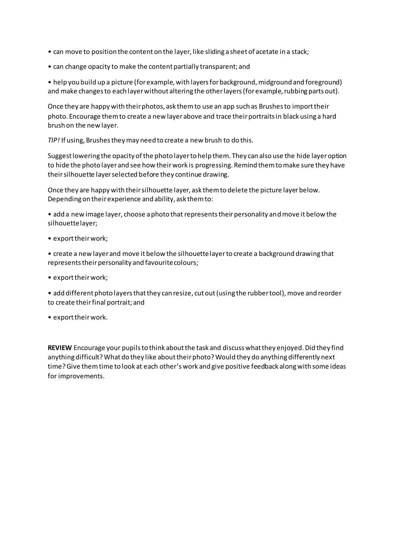- can move to position the content on the layer, like sliding a sheet of acetate in a stack;
- can change opacity to make the content partially transparent; and

• help you build up a picture (for example, with layers for background, midground and foreground) and make changes to each layer without altering the other layers (for example, rubbing parts out).

Once they are happy with their photos, ask them to use an app such as Brushes to import their photo. Encourage them to create a new layer above and trace their portraits in black using a hard brush on the new layer.

*TIP!* If using, Brushes they may need to create a new brush to do this.

Suggest lowering the opacity of the photo layer to help them. They can also use the hide layer option to hide the photo layer and see how their work is progressing. Remind them to make sure they have their silhouette layer selected before they continue drawing.

Once they are happy with their silhouette layer, ask them to delete the picture layer below. Depending on their experience and ability, ask them to:

• add a new image layer, choose a photo that represents their personality and move it below the silhouette layer;

• export their work;

• create a new layer and move it below the silhouette layer to create a background drawing that represents their personality and favourite colours;

• export their work;

• add different photo layers that they can resize, cut out (using the rubber tool), move and reorder to create their final portrait; and

• export their work.

**REVIEW** Encourage your pupils to think about the task and discuss what they enjoyed. Did they find anything difficult? What do they like about their photo? Would they do anything differently next time? Give them time to look at each other's work and give positive feedback along with some ideas for improvements.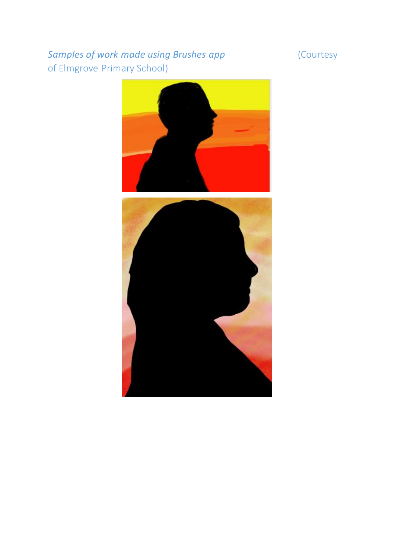## **Samples of work made using Brushes app** (Courtesy of Elmgrove Primary School)

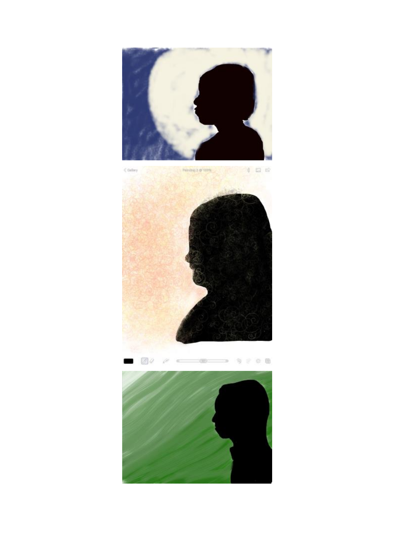